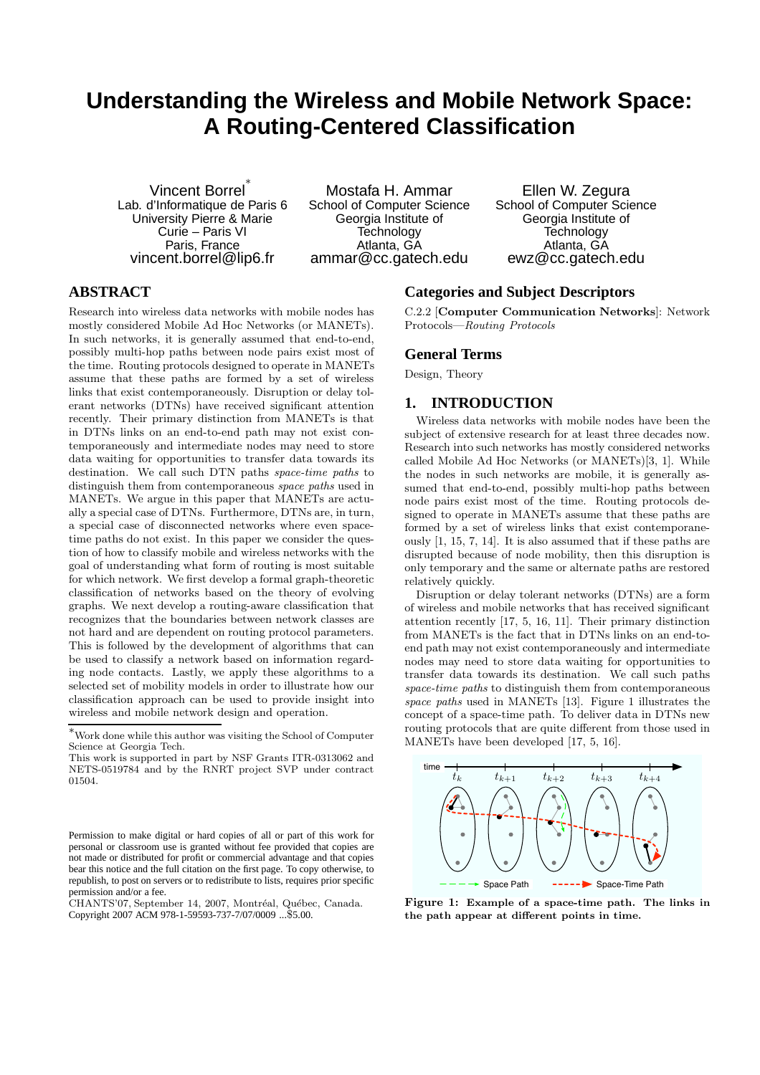# **Understanding the Wireless and Mobile Network Space: A Routing-Centered Classification**

Vincent Borrel<sup>\*</sup> Lab. d'Informatique de Paris 6 University Pierre & Marie Curie – Paris VI Paris, France vincent.borrel@lip6.fr

Mostafa H. Ammar School of Computer Science Georgia Institute of **Technology** Atlanta, GA ammar@cc.gatech.edu

Ellen W. Zegura School of Computer Science Georgia Institute of **Technology** Atlanta, GA ewz@cc.gatech.edu

# **ABSTRACT**

Research into wireless data networks with mobile nodes has mostly considered Mobile Ad Hoc Networks (or MANETs). In such networks, it is generally assumed that end-to-end, possibly multi-hop paths between node pairs exist most of the time. Routing protocols designed to operate in MANETs assume that these paths are formed by a set of wireless links that exist contemporaneously. Disruption or delay tolerant networks (DTNs) have received significant attention recently. Their primary distinction from MANETs is that in DTNs links on an end-to-end path may not exist contemporaneously and intermediate nodes may need to store data waiting for opportunities to transfer data towards its destination. We call such DTN paths space-time paths to distinguish them from contemporaneous space paths used in MANETs. We argue in this paper that MANETs are actually a special case of DTNs. Furthermore, DTNs are, in turn, a special case of disconnected networks where even spacetime paths do not exist. In this paper we consider the question of how to classify mobile and wireless networks with the goal of understanding what form of routing is most suitable for which network. We first develop a formal graph-theoretic classification of networks based on the theory of evolving graphs. We next develop a routing-aware classification that recognizes that the boundaries between network classes are not hard and are dependent on routing protocol parameters. This is followed by the development of algorithms that can be used to classify a network based on information regarding node contacts. Lastly, we apply these algorithms to a selected set of mobility models in order to illustrate how our classification approach can be used to provide insight into wireless and mobile network design and operation.

Permission to make digital or hard copies of all or part of this work for personal or classroom use is granted without fee provided that copies are not made or distributed for profit or commercial advantage and that copies bear this notice and the full citation on the first page. To copy otherwise, to republish, to post on servers or to redistribute to lists, requires prior specific permission and/or a fee.

CHANTS'07, September 14, 2007, Montréal, Québec, Canada. Copyright 2007 ACM 978-1-59593-737-7/07/0009 ...\$5.00.

## **Categories and Subject Descriptors**

C.2.2 [Computer Communication Networks]: Network Protocols—Routing Protocols

## **General Terms**

Design, Theory

### **1. INTRODUCTION**

Wireless data networks with mobile nodes have been the subject of extensive research for at least three decades now. Research into such networks has mostly considered networks called Mobile Ad Hoc Networks (or MANETs)[3, 1]. While the nodes in such networks are mobile, it is generally assumed that end-to-end, possibly multi-hop paths between node pairs exist most of the time. Routing protocols designed to operate in MANETs assume that these paths are formed by a set of wireless links that exist contemporaneously [1, 15, 7, 14]. It is also assumed that if these paths are disrupted because of node mobility, then this disruption is only temporary and the same or alternate paths are restored relatively quickly.

Disruption or delay tolerant networks (DTNs) are a form of wireless and mobile networks that has received significant attention recently [17, 5, 16, 11]. Their primary distinction from MANETs is the fact that in DTNs links on an end-toend path may not exist contemporaneously and intermediate nodes may need to store data waiting for opportunities to transfer data towards its destination. We call such paths space-time paths to distinguish them from contemporaneous space paths used in MANETs [13]. Figure 1 illustrates the concept of a space-time path. To deliver data in DTNs new routing protocols that are quite different from those used in MANETs have been developed [17, 5, 16].



Figure 1: Example of a space-time path. The links in the path appear at different points in time.

<sup>∗</sup>Work done while this author was visiting the School of Computer Science at Georgia Tech.

This work is supported in part by NSF Grants ITR-0313062 and NETS-0519784 and by the RNRT project SVP under contract 01504.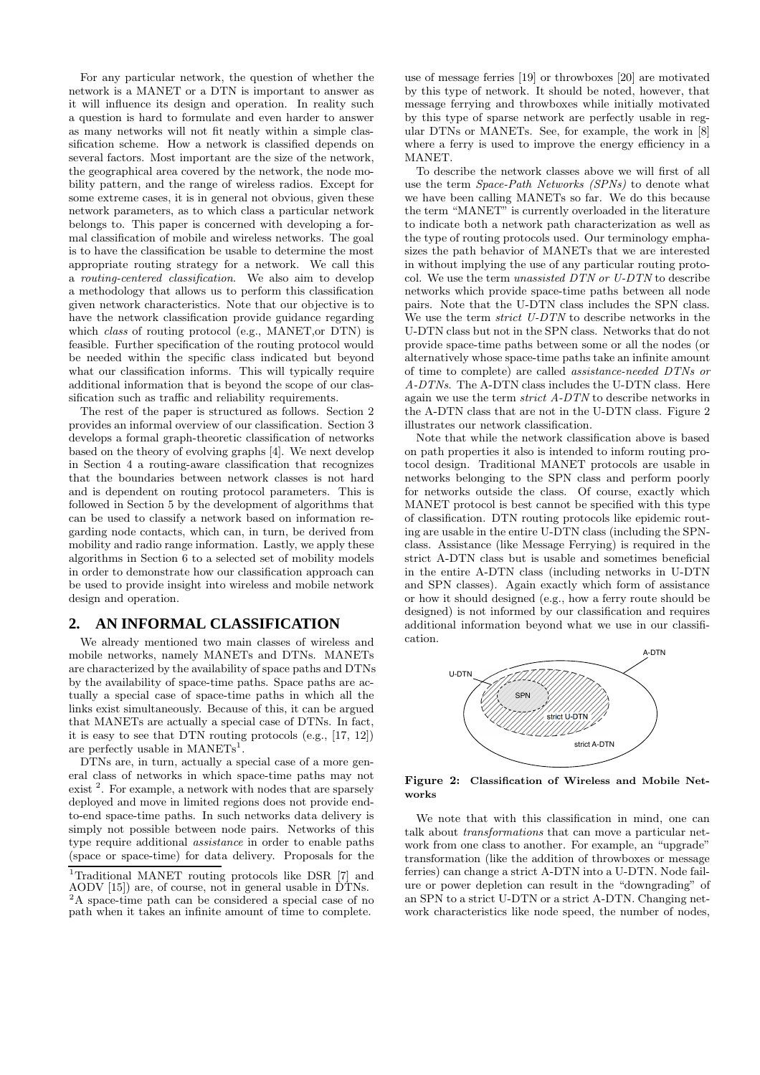For any particular network, the question of whether the network is a MANET or a DTN is important to answer as it will influence its design and operation. In reality such a question is hard to formulate and even harder to answer as many networks will not fit neatly within a simple classification scheme. How a network is classified depends on several factors. Most important are the size of the network, the geographical area covered by the network, the node mobility pattern, and the range of wireless radios. Except for some extreme cases, it is in general not obvious, given these network parameters, as to which class a particular network belongs to. This paper is concerned with developing a formal classification of mobile and wireless networks. The goal is to have the classification be usable to determine the most appropriate routing strategy for a network. We call this a routing-centered classification. We also aim to develop a methodology that allows us to perform this classification given network characteristics. Note that our objective is to have the network classification provide guidance regarding which *class* of routing protocol (e.g., MANET, or DTN) is feasible. Further specification of the routing protocol would be needed within the specific class indicated but beyond what our classification informs. This will typically require additional information that is beyond the scope of our classification such as traffic and reliability requirements.

The rest of the paper is structured as follows. Section 2 provides an informal overview of our classification. Section 3 develops a formal graph-theoretic classification of networks based on the theory of evolving graphs [4]. We next develop in Section 4 a routing-aware classification that recognizes that the boundaries between network classes is not hard and is dependent on routing protocol parameters. This is followed in Section 5 by the development of algorithms that can be used to classify a network based on information regarding node contacts, which can, in turn, be derived from mobility and radio range information. Lastly, we apply these algorithms in Section 6 to a selected set of mobility models in order to demonstrate how our classification approach can be used to provide insight into wireless and mobile network design and operation.

# **2. AN INFORMAL CLASSIFICATION**

We already mentioned two main classes of wireless and mobile networks, namely MANETs and DTNs. MANETs are characterized by the availability of space paths and DTNs by the availability of space-time paths. Space paths are actually a special case of space-time paths in which all the links exist simultaneously. Because of this, it can be argued that MANETs are actually a special case of DTNs. In fact, it is easy to see that DTN routing protocols (e.g., [17, 12]) are perfectly usable in  $MANETs<sup>1</sup>$ .

DTNs are, in turn, actually a special case of a more general class of networks in which space-time paths may not exist<sup>2</sup>. For example, a network with nodes that are sparsely deployed and move in limited regions does not provide endto-end space-time paths. In such networks data delivery is simply not possible between node pairs. Networks of this type require additional assistance in order to enable paths (space or space-time) for data delivery. Proposals for the

use of message ferries [19] or throwboxes [20] are motivated by this type of network. It should be noted, however, that message ferrying and throwboxes while initially motivated by this type of sparse network are perfectly usable in regular DTNs or MANETs. See, for example, the work in [8] where a ferry is used to improve the energy efficiency in a MANET.

To describe the network classes above we will first of all use the term Space-Path Networks (SPNs) to denote what we have been calling MANETs so far. We do this because the term "MANET" is currently overloaded in the literature to indicate both a network path characterization as well as the type of routing protocols used. Our terminology emphasizes the path behavior of MANETs that we are interested in without implying the use of any particular routing protocol. We use the term unassisted DTN or U-DTN to describe networks which provide space-time paths between all node pairs. Note that the U-DTN class includes the SPN class. We use the term *strict U-DTN* to describe networks in the U-DTN class but not in the SPN class. Networks that do not provide space-time paths between some or all the nodes (or alternatively whose space-time paths take an infinite amount of time to complete) are called assistance-needed DTNs or A-DTNs. The A-DTN class includes the U-DTN class. Here again we use the term strict A-DTN to describe networks in the A-DTN class that are not in the U-DTN class. Figure 2 illustrates our network classification.

Note that while the network classification above is based on path properties it also is intended to inform routing protocol design. Traditional MANET protocols are usable in networks belonging to the SPN class and perform poorly for networks outside the class. Of course, exactly which MANET protocol is best cannot be specified with this type of classification. DTN routing protocols like epidemic routing are usable in the entire U-DTN class (including the SPNclass. Assistance (like Message Ferrying) is required in the strict A-DTN class but is usable and sometimes beneficial in the entire A-DTN class (including networks in U-DTN and SPN classes). Again exactly which form of assistance or how it should designed (e.g., how a ferry route should be designed) is not informed by our classification and requires additional information beyond what we use in our classification.





We note that with this classification in mind, one can talk about *transformations* that can move a particular network from one class to another. For example, an "upgrade" transformation (like the addition of throwboxes or message ferries) can change a strict A-DTN into a U-DTN. Node failure or power depletion can result in the "downgrading" of an SPN to a strict U-DTN or a strict A-DTN. Changing network characteristics like node speed, the number of nodes,

<sup>1</sup>Traditional MANET routing protocols like DSR [7] and AODV [15]) are, of course, not in general usable in DTNs. <sup>2</sup>A space-time path can be considered a special case of no path when it takes an infinite amount of time to complete.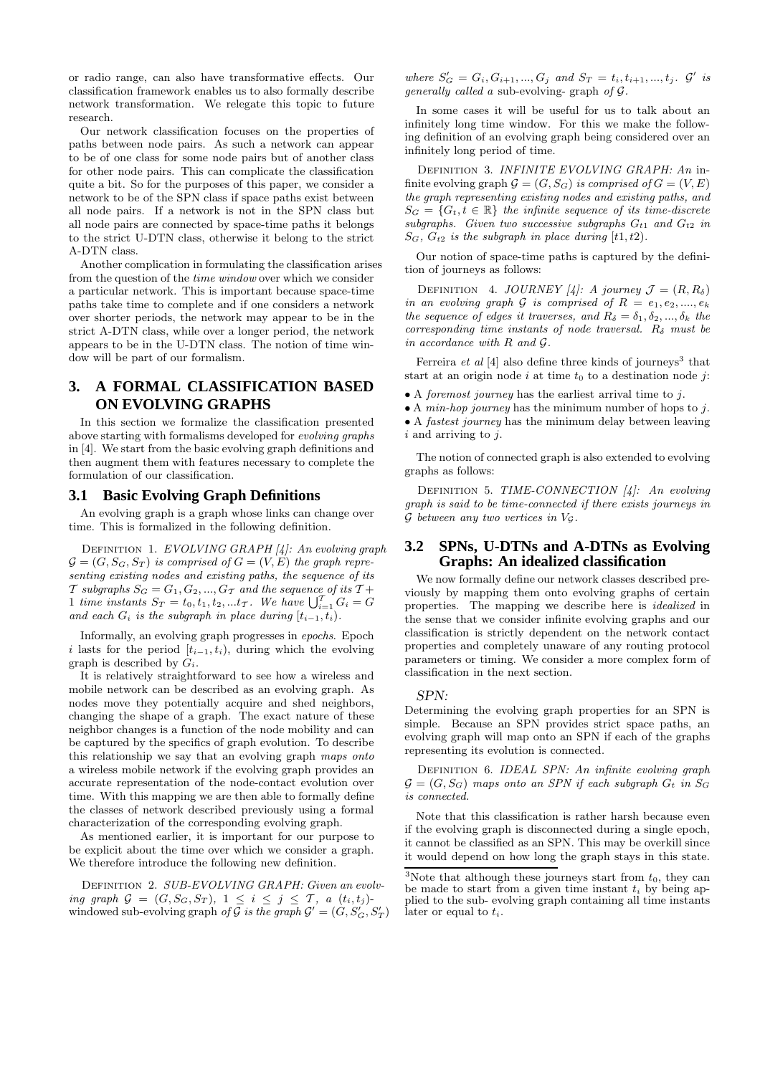or radio range, can also have transformative effects. Our classification framework enables us to also formally describe network transformation. We relegate this topic to future research.

Our network classification focuses on the properties of paths between node pairs. As such a network can appear to be of one class for some node pairs but of another class for other node pairs. This can complicate the classification quite a bit. So for the purposes of this paper, we consider a network to be of the SPN class if space paths exist between all node pairs. If a network is not in the SPN class but all node pairs are connected by space-time paths it belongs to the strict U-DTN class, otherwise it belong to the strict A-DTN class.

Another complication in formulating the classification arises from the question of the time window over which we consider a particular network. This is important because space-time paths take time to complete and if one considers a network over shorter periods, the network may appear to be in the strict A-DTN class, while over a longer period, the network appears to be in the U-DTN class. The notion of time window will be part of our formalism.

# **3. A FORMAL CLASSIFICATION BASED ON EVOLVING GRAPHS**

In this section we formalize the classification presented above starting with formalisms developed for evolving graphs in [4]. We start from the basic evolving graph definitions and then augment them with features necessary to complete the formulation of our classification.

### **3.1 Basic Evolving Graph Definitions**

An evolving graph is a graph whose links can change over time. This is formalized in the following definition.

DEFINITION 1. EVOLVING GRAPH  $\lbrack \Lambda \rbrack$ : An evolving graph  $\mathcal{G} = (G, S_G, S_T)$  is comprised of  $G = (V, E)$  the graph representing existing nodes and existing paths, the sequence of its  $\mathcal T$  subgraphs  $S_G = G_1, G_2, ..., G_{\mathcal T}$  and the sequence of its  $\mathcal T +$ 1 time instants  $S_T = t_0, t_1, t_2, ... t_T$ . We have  $\bigcup_{i=1}^T G_i = G$ and each  $G_i$  is the subgraph in place during  $[t_{i-1}, t_i]$ .

Informally, an evolving graph progresses in epochs. Epoch i lasts for the period  $[t_{i-1}, t_i)$ , during which the evolving graph is described by  $G_i$ .

It is relatively straightforward to see how a wireless and mobile network can be described as an evolving graph. As nodes move they potentially acquire and shed neighbors, changing the shape of a graph. The exact nature of these neighbor changes is a function of the node mobility and can be captured by the specifics of graph evolution. To describe this relationship we say that an evolving graph maps onto a wireless mobile network if the evolving graph provides an accurate representation of the node-contact evolution over time. With this mapping we are then able to formally define the classes of network described previously using a formal characterization of the corresponding evolving graph.

As mentioned earlier, it is important for our purpose to be explicit about the time over which we consider a graph. We therefore introduce the following new definition.

DEFINITION 2. SUB-EVOLVING GRAPH: Given an evolving graph  $\mathcal{G} = (G, S_G, S_T), 1 \leq i \leq j \leq \mathcal{T}, a (t_i, t_j)$ windowed sub-evolving graph of G is the graph  $\mathcal{G}' = (G, S'_G, S'_T)$  where  $S'_{G} = G_{i}, G_{i+1}, ..., G_{j}$  and  $S_{T} = t_{i}, t_{i+1}, ..., t_{j}$ .  $\mathcal{G}'$  is generally called a sub-evolving- graph of G.

In some cases it will be useful for us to talk about an infinitely long time window. For this we make the following definition of an evolving graph being considered over an infinitely long period of time.

DEFINITION 3. INFINITE EVOLVING GRAPH: An infinite evolving graph  $\mathcal{G} = (G, S_G)$  is comprised of  $G = (V, E)$ the graph representing existing nodes and existing paths, and  $S_G = \{G_t, t \in \mathbb{R}\}\$  the infinite sequence of its time-discrete subgraphs. Given two successive subgraphs  $G_{t1}$  and  $G_{t2}$  in  $S_G$ ,  $G_{t2}$  is the subgraph in place during [t1, t2].

Our notion of space-time paths is captured by the definition of journeys as follows:

DEFINITION 4. JOURNEY [4]: A journey  $\mathcal{J} = (R, R_\delta)$ in an evolving graph G is comprised of  $R = e_1, e_2, \dots, e_k$ the sequence of edges it traverses, and  $R_{\delta} = \delta_1, \delta_2, ..., \delta_k$  the corresponding time instants of node traversal.  $R_{\delta}$  must be in accordance with R and G.

Ferreira *et al* [4] also define three kinds of journeys<sup>3</sup> that start at an origin node i at time  $t_0$  to a destination node j:

- A *foremost journey* has the earliest arrival time to  $j$ .
- A *min-hop journey* has the minimum number of hops to  $j$ .
- A *fastest journey* has the minimum delay between leaving  $i$  and arriving to  $j$ .

The notion of connected graph is also extended to evolving graphs as follows:

DEFINITION 5. TIME-CONNECTION [4]: An evolving graph is said to be time-connected if there exists journeys in  $G$  between any two vertices in  $V_G$ .

### **3.2 SPNs, U-DTNs and A-DTNs as Evolving Graphs: An idealized classification**

We now formally define our network classes described previously by mapping them onto evolving graphs of certain properties. The mapping we describe here is idealized in the sense that we consider infinite evolving graphs and our classification is strictly dependent on the network contact properties and completely unaware of any routing protocol parameters or timing. We consider a more complex form of classification in the next section.

## SPN:

Determining the evolving graph properties for an SPN is simple. Because an SPN provides strict space paths, an evolving graph will map onto an SPN if each of the graphs representing its evolution is connected.

DEFINITION 6. IDEAL SPN: An infinite evolving graph  $\mathcal{G} = (G, S_G)$  maps onto an SPN if each subgraph  $G_t$  in  $S_G$ is connected.

Note that this classification is rather harsh because even if the evolving graph is disconnected during a single epoch, it cannot be classified as an SPN. This may be overkill since it would depend on how long the graph stays in this state.

<sup>&</sup>lt;sup>3</sup>Note that although these journeys start from  $t_0$ , they can be made to start from a given time instant  $t_i$  by being applied to the sub- evolving graph containing all time instants Later or equal to  $t_i$ .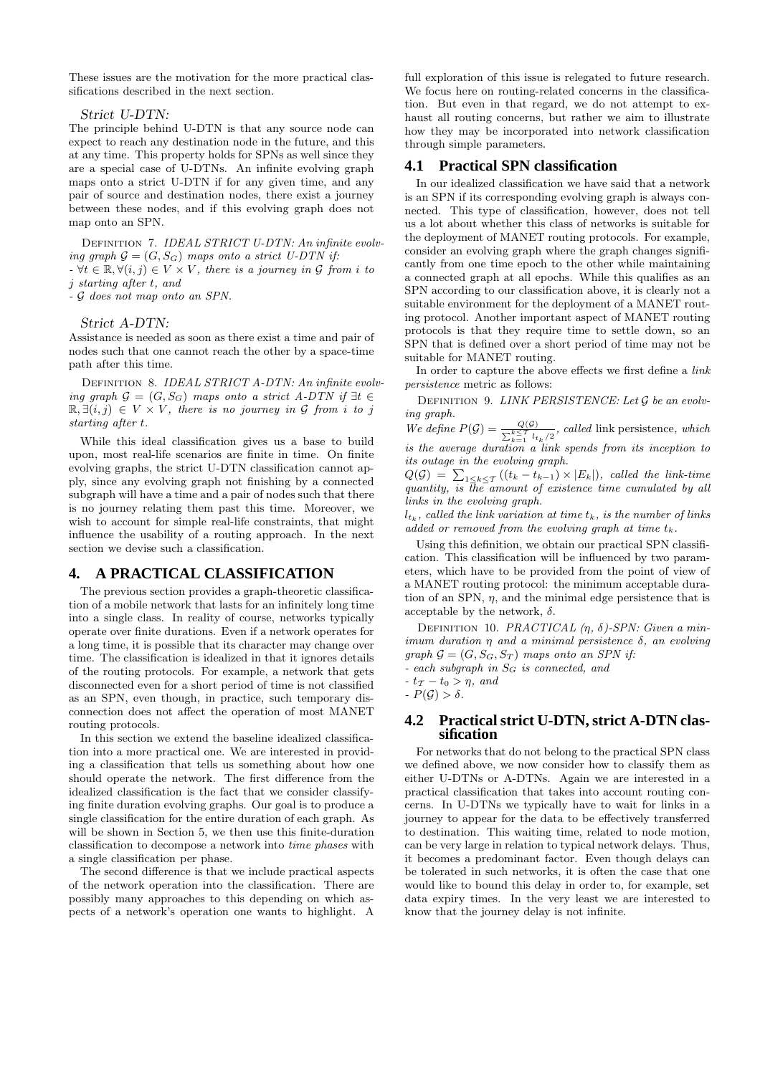These issues are the motivation for the more practical classifications described in the next section.

#### Strict U-DTN:

The principle behind U-DTN is that any source node can expect to reach any destination node in the future, and this at any time. This property holds for SPNs as well since they are a special case of U-DTNs. An infinite evolving graph maps onto a strict U-DTN if for any given time, and any pair of source and destination nodes, there exist a journey between these nodes, and if this evolving graph does not map onto an SPN.

DEFINITION 7. IDEAL STRICT U-DTN: An infinite evolving graph  $G = (G, S_G)$  maps onto a strict U-DTN if:  $-\forall t \in \mathbb{R}, \forall (i, j) \in V \times V$ , there is a journey in G from i to

j starting after t, and

- G does not map onto an SPN.

Strict A-DTN:

Assistance is needed as soon as there exist a time and pair of nodes such that one cannot reach the other by a space-time path after this time.

DEFINITION 8. IDEAL STRICT A-DTN: An infinite evolving graph  $\mathcal{G} = (G, S_G)$  maps onto a strict A-DTN if  $\exists t \in$  $\mathbb{R}, \exists (i, j) \in V \times V$ , there is no journey in G from i to j starting after t.

While this ideal classification gives us a base to build upon, most real-life scenarios are finite in time. On finite evolving graphs, the strict U-DTN classification cannot apply, since any evolving graph not finishing by a connected subgraph will have a time and a pair of nodes such that there is no journey relating them past this time. Moreover, we wish to account for simple real-life constraints, that might influence the usability of a routing approach. In the next section we devise such a classification.

# **4. A PRACTICAL CLASSIFICATION**

The previous section provides a graph-theoretic classification of a mobile network that lasts for an infinitely long time into a single class. In reality of course, networks typically operate over finite durations. Even if a network operates for a long time, it is possible that its character may change over time. The classification is idealized in that it ignores details of the routing protocols. For example, a network that gets disconnected even for a short period of time is not classified as an SPN, even though, in practice, such temporary disconnection does not affect the operation of most MANET routing protocols.

In this section we extend the baseline idealized classification into a more practical one. We are interested in providing a classification that tells us something about how one should operate the network. The first difference from the idealized classification is the fact that we consider classifying finite duration evolving graphs. Our goal is to produce a single classification for the entire duration of each graph. As will be shown in Section 5, we then use this finite-duration classification to decompose a network into time phases with a single classification per phase.

The second difference is that we include practical aspects of the network operation into the classification. There are possibly many approaches to this depending on which aspects of a network's operation one wants to highlight. A

full exploration of this issue is relegated to future research. We focus here on routing-related concerns in the classification. But even in that regard, we do not attempt to exhaust all routing concerns, but rather we aim to illustrate how they may be incorporated into network classification through simple parameters.

## **4.1 Practical SPN classification**

In our idealized classification we have said that a network is an SPN if its corresponding evolving graph is always connected. This type of classification, however, does not tell us a lot about whether this class of networks is suitable for the deployment of MANET routing protocols. For example, consider an evolving graph where the graph changes significantly from one time epoch to the other while maintaining a connected graph at all epochs. While this qualifies as an SPN according to our classification above, it is clearly not a suitable environment for the deployment of a MANET routing protocol. Another important aspect of MANET routing protocols is that they require time to settle down, so an SPN that is defined over a short period of time may not be suitable for MANET routing.

In order to capture the above effects we first define a link persistence metric as follows:

DEFINITION 9. LINK PERSISTENCE: Let G be an evolving graph.

We define  $P(\mathcal{G}) = \frac{Q(\mathcal{G})}{\sum_{k=1}^{k \le T} l_{t_k}/2}$ , called link persistence, which is the average duration a link spends from its inception to its outage in the evolving graph.

 $Q(\mathcal{G}) = \sum_{1 \leq k \leq T} ((t_k - t_{k-1}) \times |E_k|),$  called the link-time quantity, is the amount of existence time cumulated by all links in the evolving graph.

 $l_{t_k}$ , called the link variation at time  $t_k$ , is the number of links added or removed from the evolving graph at time  $t_k$ .

Using this definition, we obtain our practical SPN classification. This classification will be influenced by two parameters, which have to be provided from the point of view of a MANET routing protocol: the minimum acceptable duration of an SPN,  $\eta$ , and the minimal edge persistence that is acceptable by the network,  $\delta$ .

DEFINITION 10. PRACTICAL  $(\eta, \delta)$ -SPN: Given a minimum duration  $\eta$  and a minimal persistence  $\delta$ , an evolving graph  $\mathcal{G} = (G, S_G, S_T)$  maps onto an SPN if:

- each subgraph in  $S_G$  is connected, and

### **4.2 Practical strict U-DTN, strict A-DTN classification**

For networks that do not belong to the practical SPN class we defined above, we now consider how to classify them as either U-DTNs or A-DTNs. Again we are interested in a practical classification that takes into account routing concerns. In U-DTNs we typically have to wait for links in a journey to appear for the data to be effectively transferred to destination. This waiting time, related to node motion, can be very large in relation to typical network delays. Thus, it becomes a predominant factor. Even though delays can be tolerated in such networks, it is often the case that one would like to bound this delay in order to, for example, set data expiry times. In the very least we are interested to know that the journey delay is not infinite.

<sup>-</sup>  $t_{\scriptsize T}$  –  $t_0 > \eta, \ and$  $-P(\mathcal{G}) > \delta$ .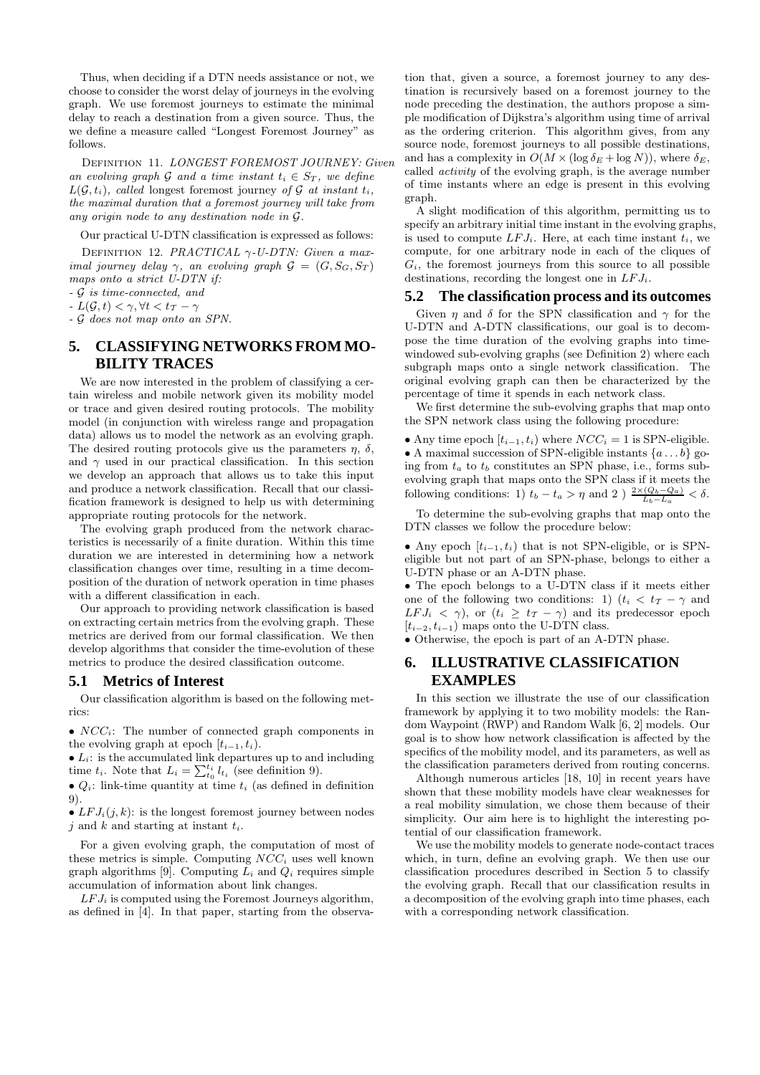Thus, when deciding if a DTN needs assistance or not, we choose to consider the worst delay of journeys in the evolving graph. We use foremost journeys to estimate the minimal delay to reach a destination from a given source. Thus, the we define a measure called "Longest Foremost Journey" as follows.

Definition 11. LONGEST FOREMOST JOURNEY: Given an evolving graph G and a time instant  $t_i \in S_T$ , we define  $L(\mathcal{G}, t_i)$ , called longest foremost journey of  $\mathcal G$  at instant  $t_i$ , the maximal duration that a foremost journey will take from any origin node to any destination node in G.

Our practical U-DTN classification is expressed as follows:

DEFINITION 12. PRACTICAL  $\gamma$ -U-DTN: Given a maximal journey delay  $\gamma$ , an evolving graph  $\mathcal{G} = (G, S_G, S_T)$ maps onto a strict U-DTN if:

- G is time-connected, and

 $-L(\mathcal{G}, t) < \gamma, \forall t < t_{\mathcal{T}} - \gamma$ 

- G does not map onto an SPN.

# **5. CLASSIFYING NETWORKS FROM MO-BILITY TRACES**

We are now interested in the problem of classifying a certain wireless and mobile network given its mobility model or trace and given desired routing protocols. The mobility model (in conjunction with wireless range and propagation data) allows us to model the network as an evolving graph. The desired routing protocols give us the parameters  $\eta$ ,  $\delta$ , and  $\gamma$  used in our practical classification. In this section we develop an approach that allows us to take this input and produce a network classification. Recall that our classification framework is designed to help us with determining appropriate routing protocols for the network.

The evolving graph produced from the network characteristics is necessarily of a finite duration. Within this time duration we are interested in determining how a network classification changes over time, resulting in a time decomposition of the duration of network operation in time phases with a different classification in each.

Our approach to providing network classification is based on extracting certain metrics from the evolving graph. These metrics are derived from our formal classification. We then develop algorithms that consider the time-evolution of these metrics to produce the desired classification outcome.

### **5.1 Metrics of Interest**

Our classification algorithm is based on the following metrics:

•  $NCC_i$ : The number of connected graph components in the evolving graph at epoch  $[t_{i-1}, t_i)$ .

 $\bullet$   $L_i$ : is the accumulated link departures up to and including time  $t_i$ . Note that  $L_i = \sum_{t_0}^{t_i} l_{t_i}$  (see definition 9).

•  $Q_i$ : link-time quantity at time  $t_i$  (as defined in definition 9).

•  $LFJ_i(j,k)$ : is the longest foremost journey between nodes j and k and starting at instant  $t_i$ .

For a given evolving graph, the computation of most of these metrics is simple. Computing  $NCC_i$  uses well known graph algorithms [9]. Computing  $L_i$  and  $Q_i$  requires simple accumulation of information about link changes.

 $LFJ_i$  is computed using the Foremost Journeys algorithm, as defined in [4]. In that paper, starting from the observa-

tion that, given a source, a foremost journey to any destination is recursively based on a foremost journey to the node preceding the destination, the authors propose a simple modification of Dijkstra's algorithm using time of arrival as the ordering criterion. This algorithm gives, from any source node, foremost journeys to all possible destinations, and has a complexity in  $O(M \times (\log \delta_E + \log N))$ , where  $\delta_E$ , called activity of the evolving graph, is the average number of time instants where an edge is present in this evolving graph.

A slight modification of this algorithm, permitting us to specify an arbitrary initial time instant in the evolving graphs, is used to compute  $LFJ_i$ . Here, at each time instant  $t_i$ , we compute, for one arbitrary node in each of the cliques of  $G_i$ , the foremost journeys from this source to all possible destinations, recording the longest one in  $LFJ_i$ .

### **5.2 The classification process and its outcomes**

Given  $\eta$  and  $\delta$  for the SPN classification and  $\gamma$  for the U-DTN and A-DTN classifications, our goal is to decompose the time duration of the evolving graphs into timewindowed sub-evolving graphs (see Definition 2) where each subgraph maps onto a single network classification. The original evolving graph can then be characterized by the percentage of time it spends in each network class.

We first determine the sub-evolving graphs that map onto the SPN network class using the following procedure:

• Any time epoch  $[t_{i-1}, t_i)$  where  $NCC_i = 1$  is SPN-eligible. • A maximal succession of SPN-eligible instants  ${a \dots b}$  going from  $t_a$  to  $t_b$  constitutes an SPN phase, i.e., forms subevolving graph that maps onto the SPN class if it meets the following conditions: 1)  $t_b - t_a > \eta$  and 2)  $\frac{2 \times (Q_b - Q_a)}{L_b - L_a} < \delta$ .

To determine the sub-evolving graphs that map onto the DTN classes we follow the procedure below:

• Any epoch  $[t_{i-1}, t_i)$  that is not SPN-eligible, or is SPNeligible but not part of an SPN-phase, belongs to either a U-DTN phase or an A-DTN phase.

• The epoch belongs to a U-DTN class if it meets either one of the following two conditions: 1)  $(t_i \lt t_{\mathcal{T}} - \gamma$  and  $LF J_i \langle \gamma \rangle$ , or  $(t_i \geq t_{\mathcal{T}} - \gamma)$  and its predecessor epoch  $[t_{i-2}, t_{i-1})$  maps onto the U-DTN class.

• Otherwise, the epoch is part of an A-DTN phase.

# **6. ILLUSTRATIVE CLASSIFICATION EXAMPLES**

In this section we illustrate the use of our classification framework by applying it to two mobility models: the Random Waypoint (RWP) and Random Walk [6, 2] models. Our goal is to show how network classification is affected by the specifics of the mobility model, and its parameters, as well as the classification parameters derived from routing concerns.

Although numerous articles [18, 10] in recent years have shown that these mobility models have clear weaknesses for a real mobility simulation, we chose them because of their simplicity. Our aim here is to highlight the interesting potential of our classification framework.

We use the mobility models to generate node-contact traces which, in turn, define an evolving graph. We then use our classification procedures described in Section 5 to classify the evolving graph. Recall that our classification results in a decomposition of the evolving graph into time phases, each with a corresponding network classification.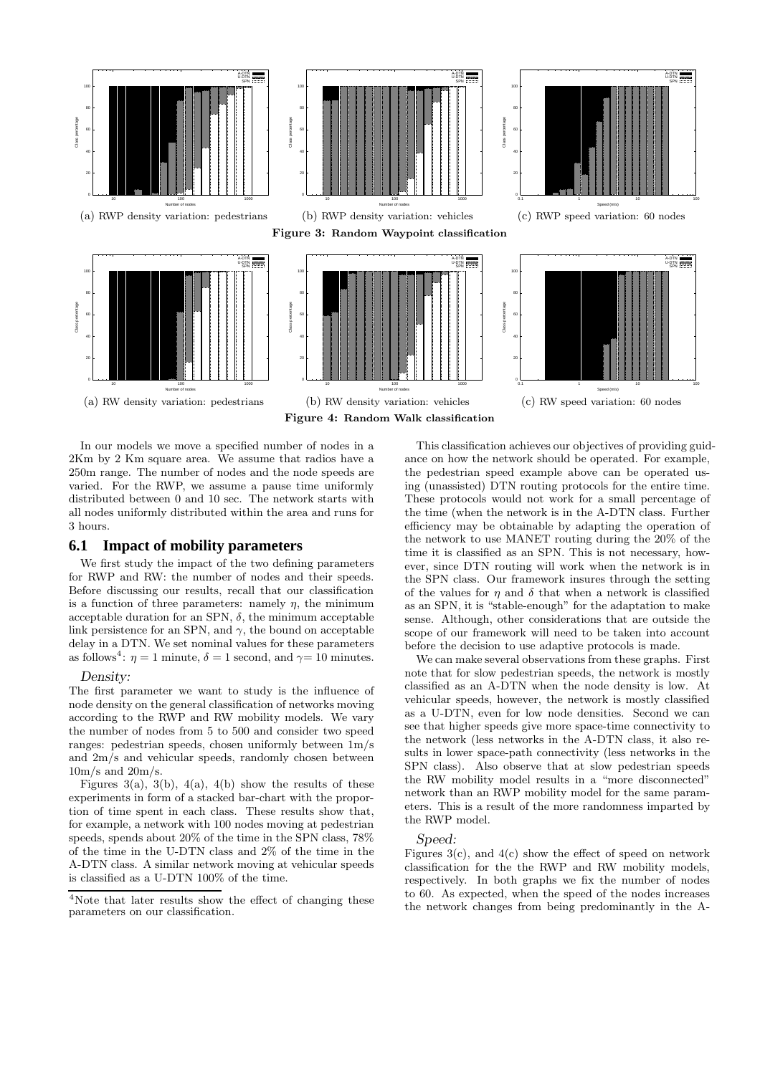

In our models we move a specified number of nodes in a 2Km by 2 Km square area. We assume that radios have a 250m range. The number of nodes and the node speeds are varied. For the RWP, we assume a pause time uniformly distributed between 0 and 10 sec. The network starts with all nodes uniformly distributed within the area and runs for 3 hours.

### **6.1 Impact of mobility parameters**

We first study the impact of the two defining parameters for RWP and RW: the number of nodes and their speeds. Before discussing our results, recall that our classification is a function of three parameters: namely  $\eta$ , the minimum acceptable duration for an SPN,  $\delta$ , the minimum acceptable link persistence for an SPN, and  $\gamma$ , the bound on acceptable delay in a DTN. We set nominal values for these parameters as follows<sup>4</sup>:  $\eta = 1$  minute,  $\delta = 1$  second, and  $\gamma = 10$  minutes.

### Density:

The first parameter we want to study is the influence of node density on the general classification of networks moving according to the RWP and RW mobility models. We vary the number of nodes from 5 to 500 and consider two speed ranges: pedestrian speeds, chosen uniformly between 1m/s and 2m/s and vehicular speeds, randomly chosen between 10m/s and 20m/s.

Figures 3(a), 3(b), 4(a), 4(b) show the results of these experiments in form of a stacked bar-chart with the proportion of time spent in each class. These results show that, for example, a network with 100 nodes moving at pedestrian speeds, spends about 20% of the time in the SPN class, 78% of the time in the U-DTN class and 2% of the time in the A-DTN class. A similar network moving at vehicular speeds is classified as a U-DTN 100% of the time.

This classification achieves our objectives of providing guidance on how the network should be operated. For example, the pedestrian speed example above can be operated using (unassisted) DTN routing protocols for the entire time. These protocols would not work for a small percentage of the time (when the network is in the A-DTN class. Further efficiency may be obtainable by adapting the operation of the network to use MANET routing during the 20% of the time it is classified as an SPN. This is not necessary, however, since DTN routing will work when the network is in the SPN class. Our framework insures through the setting of the values for  $\eta$  and  $\delta$  that when a network is classified as an SPN, it is "stable-enough" for the adaptation to make sense. Although, other considerations that are outside the scope of our framework will need to be taken into account before the decision to use adaptive protocols is made.

We can make several observations from these graphs. First note that for slow pedestrian speeds, the network is mostly classified as an A-DTN when the node density is low. At vehicular speeds, however, the network is mostly classified as a U-DTN, even for low node densities. Second we can see that higher speeds give more space-time connectivity to the network (less networks in the A-DTN class, it also results in lower space-path connectivity (less networks in the SPN class). Also observe that at slow pedestrian speeds the RW mobility model results in a "more disconnected" network than an RWP mobility model for the same parameters. This is a result of the more randomness imparted by the RWP model.

#### Speed:

Figures 3(c), and 4(c) show the effect of speed on network classification for the the RWP and RW mobility models, respectively. In both graphs we fix the number of nodes to 60. As expected, when the speed of the nodes increases the network changes from being predominantly in the A-

<sup>&</sup>lt;sup>4</sup>Note that later results show the effect of changing these parameters on our classification.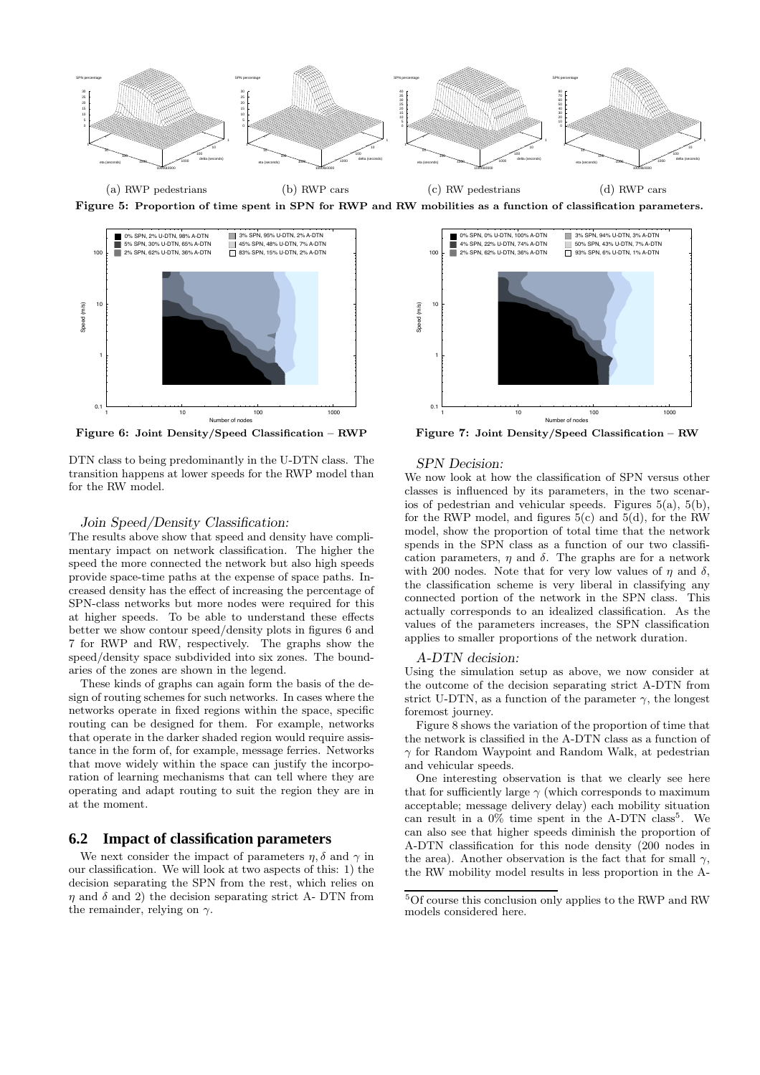

Figure 5: Proportion of time spent in SPN for RWP and RW mobilities as a function of classification parameters.



Figure 6: Joint Density/Speed Classification – RWP

DTN class to being predominantly in the U-DTN class. The transition happens at lower speeds for the RWP model than for the RW model.

### Join Speed/Density Classification:

The results above show that speed and density have complimentary impact on network classification. The higher the speed the more connected the network but also high speeds provide space-time paths at the expense of space paths. Increased density has the effect of increasing the percentage of SPN-class networks but more nodes were required for this at higher speeds. To be able to understand these effects better we show contour speed/density plots in figures 6 and 7 for RWP and RW, respectively. The graphs show the speed/density space subdivided into six zones. The boundaries of the zones are shown in the legend.

These kinds of graphs can again form the basis of the design of routing schemes for such networks. In cases where the networks operate in fixed regions within the space, specific routing can be designed for them. For example, networks that operate in the darker shaded region would require assistance in the form of, for example, message ferries. Networks that move widely within the space can justify the incorporation of learning mechanisms that can tell where they are operating and adapt routing to suit the region they are in at the moment.

### **6.2 Impact of classification parameters**

We next consider the impact of parameters  $\eta$ ,  $\delta$  and  $\gamma$  in our classification. We will look at two aspects of this: 1) the decision separating the SPN from the rest, which relies on  $\eta$  and  $\delta$  and 2) the decision separating strict A- DTN from the remainder, relying on  $\gamma$ .



Figure 7: Joint Density/Speed Classification – RW

### SPN Decision:

We now look at how the classification of SPN versus other classes is influenced by its parameters, in the two scenarios of pedestrian and vehicular speeds. Figures 5(a), 5(b), for the RWP model, and figures  $5(c)$  and  $5(d)$ , for the RW model, show the proportion of total time that the network spends in the SPN class as a function of our two classification parameters,  $\eta$  and  $\delta$ . The graphs are for a network with 200 nodes. Note that for very low values of  $\eta$  and  $\delta$ , the classification scheme is very liberal in classifying any connected portion of the network in the SPN class. This actually corresponds to an idealized classification. As the values of the parameters increases, the SPN classification applies to smaller proportions of the network duration.

#### A-DTN decision:

Using the simulation setup as above, we now consider at the outcome of the decision separating strict A-DTN from strict U-DTN, as a function of the parameter  $\gamma$ , the longest foremost journey.

Figure 8 shows the variation of the proportion of time that the network is classified in the A-DTN class as a function of  $\gamma$  for Random Waypoint and Random Walk, at pedestrian and vehicular speeds.

One interesting observation is that we clearly see here that for sufficiently large  $\gamma$  (which corresponds to maximum acceptable; message delivery delay) each mobility situation can result in a  $0\%$  time spent in the A-DTN class<sup>5</sup>. We can also see that higher speeds diminish the proportion of A-DTN classification for this node density (200 nodes in the area). Another observation is the fact that for small  $\gamma$ , the RW mobility model results in less proportion in the A-

 ${\rm ^5Of}$  course this conclusion only applies to the RWP and RW models considered here.